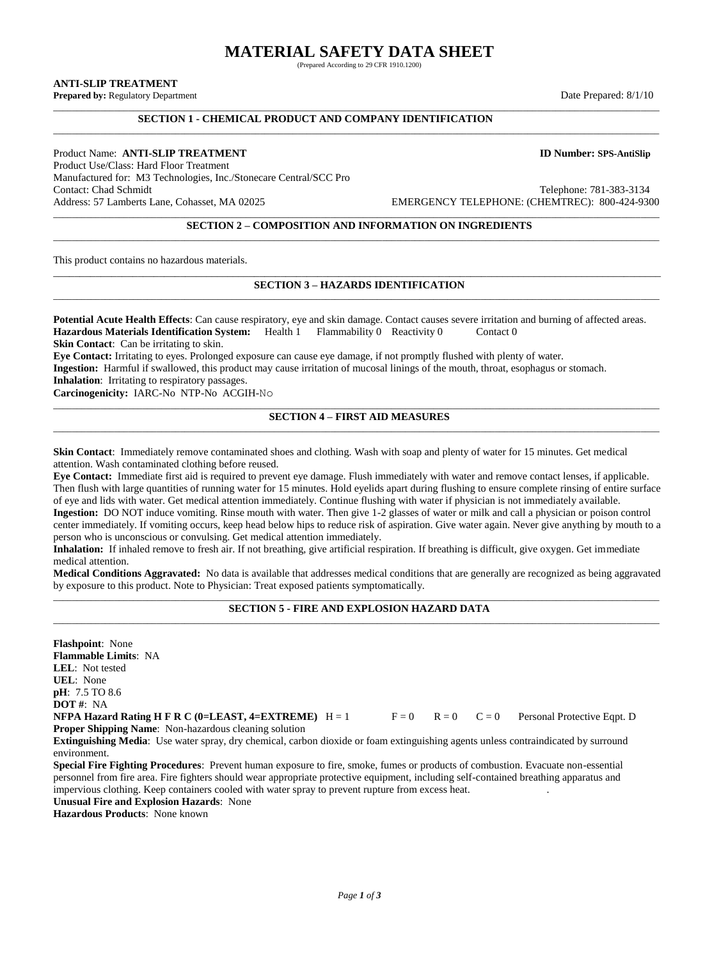# **MATERIAL SAFETY DATA SHEET**

(Prepared According to 29 CFR 1910.1200)

\_\_\_\_\_\_\_\_\_\_\_\_\_\_\_\_\_\_\_\_\_\_\_\_\_\_\_\_\_\_\_\_\_\_\_\_\_\_\_\_\_\_\_\_\_\_\_\_\_\_\_\_\_\_\_\_\_\_\_\_\_\_\_\_\_\_\_\_\_\_\_\_\_\_\_\_\_\_\_\_\_\_\_\_\_\_\_\_\_\_\_\_\_\_\_\_\_\_\_\_\_\_\_\_\_\_\_\_\_\_\_\_\_\_\_\_\_\_\_\_\_\_\_\_\_\_\_\_\_

**ANTI-SLIP TREATMENT**

**Prepared by:** Regulatory Department Date Prepared: 8/1/10

## **SECTION 1 - CHEMICAL PRODUCT AND COMPANY IDENTIFICATION** \_\_\_\_\_\_\_\_\_\_\_\_\_\_\_\_\_\_\_\_\_\_\_\_\_\_\_\_\_\_\_\_\_\_\_\_\_\_\_\_\_\_\_\_\_\_\_\_\_\_\_\_\_\_\_\_\_\_\_\_\_\_\_\_\_\_\_\_\_\_\_\_\_\_\_\_\_\_\_\_\_\_\_\_\_\_\_\_\_\_\_\_\_\_\_\_\_\_\_\_\_\_\_\_\_\_\_\_\_\_\_\_\_\_\_\_\_\_\_\_\_\_\_\_\_\_\_\_\_

Product Name: **ANTI-SLIP TREATMENT ID Number: SPS-AntiSlip** Product Use/Class: Hard Floor Treatment Manufactured for: M3 Technologies, Inc./Stonecare Central/SCC Pro Address: 57 Lamberts Lane, Cohasset, MA 02025 EMERGENCY TELEPHONE: (CHEMTREC): 800-424-9300

Telephone: 781-383-3134

#### \_\_\_\_\_\_\_\_\_\_\_\_\_\_\_\_\_\_\_\_\_\_\_\_\_\_\_\_\_\_\_\_\_\_\_\_\_\_\_\_\_\_\_\_\_\_\_\_\_\_\_\_\_\_\_\_\_\_\_\_\_\_\_\_\_\_\_\_\_\_\_\_\_\_\_\_\_\_\_\_\_\_\_\_\_\_\_\_\_\_\_\_\_\_\_\_\_\_\_\_\_\_\_\_\_\_\_\_\_\_\_\_\_\_\_\_\_\_\_\_\_\_\_\_\_\_\_\_\_ **SECTION 2 – COMPOSITION AND INFORMATION ON INGREDIENTS** \_\_\_\_\_\_\_\_\_\_\_\_\_\_\_\_\_\_\_\_\_\_\_\_\_\_\_\_\_\_\_\_\_\_\_\_\_\_\_\_\_\_\_\_\_\_\_\_\_\_\_\_\_\_\_\_\_\_\_\_\_\_\_\_\_\_\_\_\_\_\_\_\_\_\_\_\_\_\_\_\_\_\_\_\_\_\_\_\_\_\_\_\_\_\_\_\_\_\_\_\_\_\_\_\_\_\_\_\_\_\_\_\_\_\_\_\_\_\_\_\_\_\_\_\_\_\_\_\_

This product contains no hazardous materials.

## \_\_\_\_\_\_\_\_\_\_\_\_\_\_\_\_\_\_\_\_\_\_\_\_\_\_\_\_\_\_\_\_\_\_\_\_\_\_\_\_\_\_\_\_\_\_\_\_\_\_\_\_\_\_\_\_\_\_\_\_\_\_\_\_\_\_\_\_\_\_\_\_\_\_\_\_\_\_\_\_\_\_\_\_\_\_\_\_\_\_\_\_\_\_\_\_\_\_\_\_\_\_\_\_\_\_\_\_\_\_\_\_\_\_\_ **SECTION 3 – HAZARDS IDENTIFICATION** \_\_\_\_\_\_\_\_\_\_\_\_\_\_\_\_\_\_\_\_\_\_\_\_\_\_\_\_\_\_\_\_\_\_\_\_\_\_\_\_\_\_\_\_\_\_\_\_\_\_\_\_\_\_\_\_\_\_\_\_\_\_\_\_\_\_\_\_\_\_\_\_\_\_\_\_\_\_\_\_\_\_\_\_\_\_\_\_\_\_\_\_\_\_\_\_\_\_\_\_\_\_\_\_\_\_\_\_\_\_\_\_\_\_\_\_\_\_\_\_\_\_\_\_\_\_\_\_\_

**Potential Acute Health Effects**: Can cause respiratory, eye and skin damage. Contact causes severe irritation and burning of affected areas. **Hazardous Materials Identification System:** Health 1 Flammability 0 Reactivity 0 Contact 0 **Skin Contact:** Can be irritating to skin.

**Eye Contact:** Irritating to eyes. Prolonged exposure can cause eye damage, if not promptly flushed with plenty of water. **Ingestion:** Harmful if swallowed, this product may cause irritation of mucosal linings of the mouth, throat, esophagus or stomach. **Inhalation**: Irritating to respiratory passages.

**Carcinogenicity:** IARC-No NTP-No ACGIH-No

#### \_\_\_\_\_\_\_\_\_\_\_\_\_\_\_\_\_\_\_\_\_\_\_\_\_\_\_\_\_\_\_\_\_\_\_\_\_\_\_\_\_\_\_\_\_\_\_\_\_\_\_\_\_\_\_\_\_\_\_\_\_\_\_\_\_\_\_\_\_\_\_\_\_\_\_\_\_\_\_\_\_\_\_\_\_\_\_\_\_\_\_\_\_\_\_\_\_\_\_\_\_\_\_\_\_\_\_\_\_\_\_\_\_\_\_\_\_\_\_\_\_\_\_\_\_\_\_\_\_ **SECTION 4 – FIRST AID MEASURES** \_\_\_\_\_\_\_\_\_\_\_\_\_\_\_\_\_\_\_\_\_\_\_\_\_\_\_\_\_\_\_\_\_\_\_\_\_\_\_\_\_\_\_\_\_\_\_\_\_\_\_\_\_\_\_\_\_\_\_\_\_\_\_\_\_\_\_\_\_\_\_\_\_\_\_\_\_\_\_\_\_\_\_\_\_\_\_\_\_\_\_\_\_\_\_\_\_\_\_\_\_\_\_\_\_\_\_\_\_\_\_\_\_\_\_\_\_\_\_\_\_\_\_\_\_\_\_\_\_

**Skin Contact**: Immediately remove contaminated shoes and clothing. Wash with soap and plenty of water for 15 minutes. Get medical attention. Wash contaminated clothing before reused.

**Eye Contact:** Immediate first aid is required to prevent eye damage. Flush immediately with water and remove contact lenses, if applicable. Then flush with large quantities of running water for 15 minutes. Hold eyelids apart during flushing to ensure complete rinsing of entire surface of eye and lids with water. Get medical attention immediately. Continue flushing with water if physician is not immediately available. **Ingestion:** DO NOT induce vomiting. Rinse mouth with water. Then give 1-2 glasses of water or milk and call a physician or poison control center immediately. If vomiting occurs, keep head below hips to reduce risk of aspiration. Give water again. Never give anything by mouth to a person who is unconscious or convulsing. Get medical attention immediately.

**Inhalation:** If inhaled remove to fresh air. If not breathing, give artificial respiration. If breathing is difficult, give oxygen. Get immediate medical attention.

**Medical Conditions Aggravated:** No data is available that addresses medical conditions that are generally are recognized as being aggravated by exposure to this product. Note to Physician: Treat exposed patients symptomatically.

#### \_\_\_\_\_\_\_\_\_\_\_\_\_\_\_\_\_\_\_\_\_\_\_\_\_\_\_\_\_\_\_\_\_\_\_\_\_\_\_\_\_\_\_\_\_\_\_\_\_\_\_\_\_\_\_\_\_\_\_\_\_\_\_\_\_\_\_\_\_\_\_\_\_\_\_\_\_\_\_\_\_\_\_\_\_\_\_\_\_\_\_\_\_\_\_\_\_\_\_\_\_\_\_\_\_\_\_\_\_\_\_\_\_\_\_\_\_\_\_\_\_\_\_\_\_\_\_\_\_ **SECTION 5 - FIRE AND EXPLOSION HAZARD DATA** \_\_\_\_\_\_\_\_\_\_\_\_\_\_\_\_\_\_\_\_\_\_\_\_\_\_\_\_\_\_\_\_\_\_\_\_\_\_\_\_\_\_\_\_\_\_\_\_\_\_\_\_\_\_\_\_\_\_\_\_\_\_\_\_\_\_\_\_\_\_\_\_\_\_\_\_\_\_\_\_\_\_\_\_\_\_\_\_\_\_\_\_\_\_\_\_\_\_\_\_\_\_\_\_\_\_\_\_\_\_\_\_\_\_\_\_\_\_\_\_\_\_\_\_\_\_\_\_\_

**Flashpoint**: None **Flammable Limits**: NA **LEL**: Not tested **UEL**: None **pH**: 7.5 TO 8.6 **DOT #**: NA **NFPA Hazard Rating H F R C (0=LEAST, 4=EXTREME)**  $H = 1$   $F = 0$   $R = 0$   $C = 0$  Personal Protective Eqpt. D **Proper Shipping Name**: Non-hazardous cleaning solution **Extinguishing Media**: Use water spray, dry chemical, carbon dioxide or foam extinguishing agents unless contraindicated by surround environment.

**Special Fire Fighting Procedures**: Prevent human exposure to fire, smoke, fumes or products of combustion. Evacuate non-essential personnel from fire area. Fire fighters should wear appropriate protective equipment, including self-contained breathing apparatus and impervious clothing. Keep containers cooled with water spray to prevent rupture from excess heat. .

**Unusual Fire and Explosion Hazards**: None

**Hazardous Products**: None known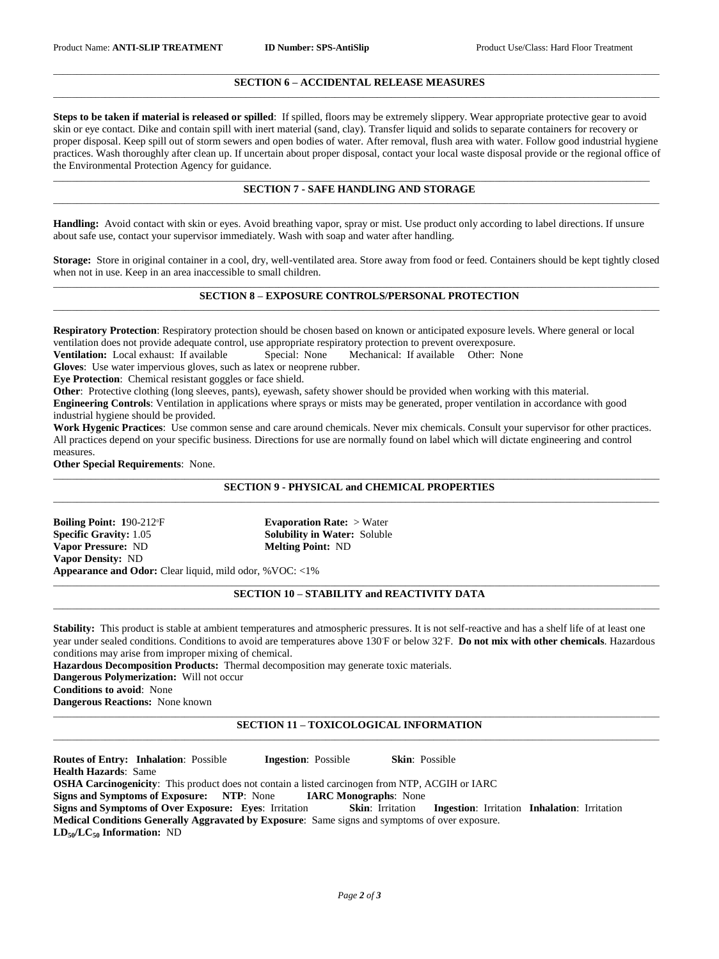#### \_\_\_\_\_\_\_\_\_\_\_\_\_\_\_\_\_\_\_\_\_\_\_\_\_\_\_\_\_\_\_\_\_\_\_\_\_\_\_\_\_\_\_\_\_\_\_\_\_\_\_\_\_\_\_\_\_\_\_\_\_\_\_\_\_\_\_\_\_\_\_\_\_\_\_\_\_\_\_\_\_\_\_\_\_\_\_\_\_\_\_\_\_\_\_\_\_\_\_\_\_\_\_\_\_\_\_\_\_\_\_\_\_\_\_\_\_\_\_\_\_\_\_\_\_\_\_\_\_ **SECTION 6 – ACCIDENTAL RELEASE MEASURES** \_\_\_\_\_\_\_\_\_\_\_\_\_\_\_\_\_\_\_\_\_\_\_\_\_\_\_\_\_\_\_\_\_\_\_\_\_\_\_\_\_\_\_\_\_\_\_\_\_\_\_\_\_\_\_\_\_\_\_\_\_\_\_\_\_\_\_\_\_\_\_\_\_\_\_\_\_\_\_\_\_\_\_\_\_\_\_\_\_\_\_\_\_\_\_\_\_\_\_\_\_\_\_\_\_\_\_\_\_\_\_\_\_\_\_\_\_\_\_\_\_\_\_\_\_\_\_\_\_

**Steps to be taken if material is released or spilled**: If spilled, floors may be extremely slippery. Wear appropriate protective gear to avoid skin or eye contact. Dike and contain spill with inert material (sand, clay). Transfer liquid and solids to separate containers for recovery or proper disposal. Keep spill out of storm sewers and open bodies of water. After removal, flush area with water. Follow good industrial hygiene practices. Wash thoroughly after clean up. If uncertain about proper disposal, contact your local waste disposal provide or the regional office of the Environmental Protection Agency for guidance.

#### \_\_\_\_\_\_\_\_\_\_\_\_\_\_\_\_\_\_\_\_\_\_\_\_\_\_\_\_\_\_\_\_\_\_\_\_\_\_\_\_\_\_\_\_\_\_\_\_\_\_\_\_\_\_\_\_\_\_\_\_\_\_\_\_\_\_\_\_\_\_\_\_\_\_\_\_\_\_\_\_\_\_\_\_\_\_\_\_\_\_\_\_\_\_\_\_\_\_\_\_\_\_\_\_\_\_\_\_\_\_\_\_\_\_\_\_\_\_\_\_\_\_\_\_\_\_\_ **SECTION 7 - SAFE HANDLING AND STORAGE** \_\_\_\_\_\_\_\_\_\_\_\_\_\_\_\_\_\_\_\_\_\_\_\_\_\_\_\_\_\_\_\_\_\_\_\_\_\_\_\_\_\_\_\_\_\_\_\_\_\_\_\_\_\_\_\_\_\_\_\_\_\_\_\_\_\_\_\_\_\_\_\_\_\_\_\_\_\_\_\_\_\_\_\_\_\_\_\_\_\_\_\_\_\_\_\_\_\_\_\_\_\_\_\_\_\_\_\_\_\_\_\_\_\_\_\_\_\_\_\_\_\_\_\_\_\_\_\_\_

**Handling:** Avoid contact with skin or eyes. Avoid breathing vapor, spray or mist. Use product only according to label directions. If unsure about safe use, contact your supervisor immediately. Wash with soap and water after handling.

**Storage:** Store in original container in a cool, dry, well-ventilated area. Store away from food or feed. Containers should be kept tightly closed when not in use. Keep in an area inaccessible to small children.

#### \_\_\_\_\_\_\_\_\_\_\_\_\_\_\_\_\_\_\_\_\_\_\_\_\_\_\_\_\_\_\_\_\_\_\_\_\_\_\_\_\_\_\_\_\_\_\_\_\_\_\_\_\_\_\_\_\_\_\_\_\_\_\_\_\_\_\_\_\_\_\_\_\_\_\_\_\_\_\_\_\_\_\_\_\_\_\_\_\_\_\_\_\_\_\_\_\_\_\_\_\_\_\_\_\_\_\_\_\_\_\_\_\_\_\_\_\_\_\_\_\_\_\_\_\_\_\_\_\_ **SECTION 8 – EXPOSURE CONTROLS/PERSONAL PROTECTION** \_\_\_\_\_\_\_\_\_\_\_\_\_\_\_\_\_\_\_\_\_\_\_\_\_\_\_\_\_\_\_\_\_\_\_\_\_\_\_\_\_\_\_\_\_\_\_\_\_\_\_\_\_\_\_\_\_\_\_\_\_\_\_\_\_\_\_\_\_\_\_\_\_\_\_\_\_\_\_\_\_\_\_\_\_\_\_\_\_\_\_\_\_\_\_\_\_\_\_\_\_\_\_\_\_\_\_\_\_\_\_\_\_\_\_\_\_\_\_\_\_\_\_\_\_\_\_\_\_

**Respiratory Protection**: Respiratory protection should be chosen based on known or anticipated exposure levels. Where general or local ventilation does not provide adequate control, use appropriate respiratory protection to prevent overexposure.

**Ventilation:** Local exhaust: If available Special: None Mechanical: If available Other: None

**Gloves**: Use water impervious gloves, such as latex or neoprene rubber.

**Eye Protection**: Chemical resistant goggles or face shield.

**Other**: Protective clothing (long sleeves, pants), eyewash, safety shower should be provided when working with this material.

**Engineering Controls**: Ventilation in applications where sprays or mists may be generated, proper ventilation in accordance with good industrial hygiene should be provided.

**Work Hygenic Practices**: Use common sense and care around chemicals. Never mix chemicals. Consult your supervisor for other practices. All practices depend on your specific business. Directions for use are normally found on label which will dictate engineering and control measures.

**Other Special Requirements**: None.

#### \_\_\_\_\_\_\_\_\_\_\_\_\_\_\_\_\_\_\_\_\_\_\_\_\_\_\_\_\_\_\_\_\_\_\_\_\_\_\_\_\_\_\_\_\_\_\_\_\_\_\_\_\_\_\_\_\_\_\_\_\_\_\_\_\_\_\_\_\_\_\_\_\_\_\_\_\_\_\_\_\_\_\_\_\_\_\_\_\_\_\_\_\_\_\_\_\_\_\_\_\_\_\_\_\_\_\_\_\_\_\_\_\_\_\_\_\_\_\_\_\_\_\_\_\_\_\_\_\_ **SECTION 9 - PHYSICAL and CHEMICAL PROPERTIES** \_\_\_\_\_\_\_\_\_\_\_\_\_\_\_\_\_\_\_\_\_\_\_\_\_\_\_\_\_\_\_\_\_\_\_\_\_\_\_\_\_\_\_\_\_\_\_\_\_\_\_\_\_\_\_\_\_\_\_\_\_\_\_\_\_\_\_\_\_\_\_\_\_\_\_\_\_\_\_\_\_\_\_\_\_\_\_\_\_\_\_\_\_\_\_\_\_\_\_\_\_\_\_\_\_\_\_\_\_\_\_\_\_\_\_\_\_\_\_\_\_\_\_\_\_\_\_\_\_

**Boiling Point:** 190-212<sup>°</sup> **Evaporation Rate:** > Water **Specific Gravity:** 1.05 **Solubility in Water:** Soluble **Vapor Pressure:** ND **Melting Point:** ND **Vapor Density:** ND **Appearance and Odor:** Clear liquid, mild odor, %VOC: <1%

\_\_\_\_\_\_\_\_\_\_\_\_\_\_\_\_\_\_\_\_\_\_\_\_\_\_\_\_\_\_\_\_\_\_\_\_\_\_\_\_\_\_\_\_\_\_\_\_\_\_\_\_\_\_\_\_\_\_\_\_\_\_\_\_\_\_\_\_\_\_\_\_\_\_\_\_\_\_\_\_\_\_\_\_\_\_\_\_\_\_\_\_\_\_\_\_\_\_\_\_\_\_\_\_\_\_\_\_\_\_\_\_\_\_\_\_\_\_\_\_\_\_\_\_\_\_\_\_\_ **SECTION 10 – STABILITY and REACTIVITY DATA**

**Stability:** This product is stable at ambient temperatures and atmospheric pressures. It is not self-reactive and has a shelf life of at least one year under sealed conditions. Conditions to avoid are temperatures above 130°F or below 32°F. **Do not mix with other chemicals**. Hazardous conditions may arise from improper mixing of chemical.

\_\_\_\_\_\_\_\_\_\_\_\_\_\_\_\_\_\_\_\_\_\_\_\_\_\_\_\_\_\_\_\_\_\_\_\_\_\_\_\_\_\_\_\_\_\_\_\_\_\_\_\_\_\_\_\_\_\_\_\_\_\_\_\_\_\_\_\_\_\_\_\_\_\_\_\_\_\_\_\_\_\_\_\_\_\_\_\_\_\_\_\_\_\_\_\_\_\_\_\_\_\_\_\_\_\_\_\_\_\_\_\_\_\_\_\_\_\_\_\_\_\_\_\_\_\_\_\_\_

**Hazardous Decomposition Products:** Thermal decomposition may generate toxic materials.

**Dangerous Polymerization:** Will not occur

**Conditions to avoid**: None

**Dangerous Reactions:** None known

#### \_\_\_\_\_\_\_\_\_\_\_\_\_\_\_\_\_\_\_\_\_\_\_\_\_\_\_\_\_\_\_\_\_\_\_\_\_\_\_\_\_\_\_\_\_\_\_\_\_\_\_\_\_\_\_\_\_\_\_\_\_\_\_\_\_\_\_\_\_\_\_\_\_\_\_\_\_\_\_\_\_\_\_\_\_\_\_\_\_\_\_\_\_\_\_\_\_\_\_\_\_\_\_\_\_\_\_\_\_\_\_\_\_\_\_\_\_\_\_\_\_\_\_\_\_\_\_\_\_ **SECTION 11 – TOXICOLOGICAL INFORMATION**  $\_$  , and the set of the set of the set of the set of the set of the set of the set of the set of the set of the set of the set of the set of the set of the set of the set of the set of the set of the set of the set of th

**Routes of Entry: Inhalation**: Possible **Ingestion**: Possible **Skin**: Possible **Health Hazards**: Same **OSHA Carcinogenicity**: This product does not contain a listed carcinogen from NTP, ACGIH or IARC

**Signs and Symptoms of Exposure: NTP**: None **IARC Monographs**: None

**Signs and Symptoms of Over Exposure: Eyes**: Irritation **Skin**: Irritation **Ingestion**: Irritation **Inhalation**: Irritation **Medical Conditions Generally Aggravated by Exposure**: Same signs and symptoms of over exposure.

**LD50/LC<sup>50</sup> Information:** ND